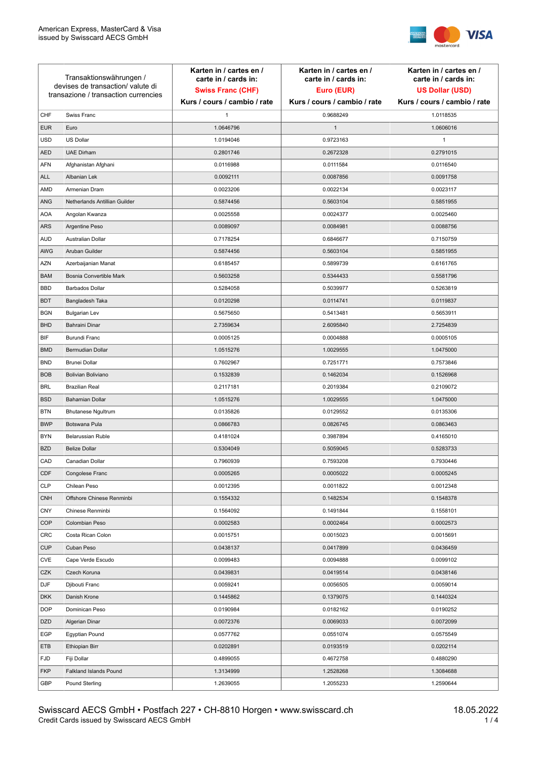

| Transaktionswährungen /<br>devises de transaction/valute di<br>transazione / transaction currencies |                               | Karten in / cartes en /<br>carte in / cards in:<br><b>Swiss Franc (CHF)</b> | Karten in / cartes en /<br>carte in / cards in:<br>Euro (EUR) | Karten in / cartes en /<br>carte in / cards in:<br><b>US Dollar (USD)</b> |
|-----------------------------------------------------------------------------------------------------|-------------------------------|-----------------------------------------------------------------------------|---------------------------------------------------------------|---------------------------------------------------------------------------|
|                                                                                                     |                               | Kurs / cours / cambio / rate                                                | Kurs / cours / cambio / rate                                  | Kurs / cours / cambio / rate                                              |
| CHF                                                                                                 | Swiss Franc                   | $\mathbf{1}$                                                                | 0.9688249                                                     | 1.0118535                                                                 |
| <b>EUR</b>                                                                                          | Euro                          | 1.0646796                                                                   | $\mathbf{1}$                                                  | 1.0606016                                                                 |
| <b>USD</b>                                                                                          | <b>US Dollar</b>              | 1.0194046                                                                   | 0.9723163                                                     | 1                                                                         |
| <b>AED</b>                                                                                          | <b>UAE Dirham</b>             | 0.2801746                                                                   | 0.2672328                                                     | 0.2791015                                                                 |
| <b>AFN</b>                                                                                          | Afghanistan Afghani           | 0.0116988                                                                   | 0.0111584                                                     | 0.0116540                                                                 |
| <b>ALL</b>                                                                                          | Albanian Lek                  | 0.0092111                                                                   | 0.0087856                                                     | 0.0091758                                                                 |
| AMD                                                                                                 | Armenian Dram                 | 0.0023206                                                                   | 0.0022134                                                     | 0.0023117                                                                 |
| ANG                                                                                                 | Netherlands Antillian Guilder | 0.5874456                                                                   | 0.5603104                                                     | 0.5851955                                                                 |
| <b>AOA</b>                                                                                          | Angolan Kwanza                | 0.0025558                                                                   | 0.0024377                                                     | 0.0025460                                                                 |
| ARS                                                                                                 | Argentine Peso                | 0.0089097                                                                   | 0.0084981                                                     | 0.0088756                                                                 |
| <b>AUD</b>                                                                                          | Australian Dollar             | 0.7178254                                                                   | 0.6846677                                                     | 0.7150759                                                                 |
| AWG                                                                                                 | Aruban Guilder                | 0.5874456                                                                   | 0.5603104                                                     | 0.5851955                                                                 |
| <b>AZN</b>                                                                                          | Azerbaijanian Manat           | 0.6185457                                                                   | 0.5899739                                                     | 0.6161765                                                                 |
| <b>BAM</b>                                                                                          | Bosnia Convertible Mark       | 0.5603258                                                                   | 0.5344433                                                     | 0.5581796                                                                 |
| <b>BBD</b>                                                                                          | <b>Barbados Dollar</b>        | 0.5284058                                                                   | 0.5039977                                                     | 0.5263819                                                                 |
| <b>BDT</b>                                                                                          | Bangladesh Taka               | 0.0120298                                                                   | 0.0114741                                                     | 0.0119837                                                                 |
| <b>BGN</b>                                                                                          | <b>Bulgarian Lev</b>          | 0.5675650                                                                   | 0.5413481                                                     | 0.5653911                                                                 |
| <b>BHD</b>                                                                                          | Bahraini Dinar                | 2.7359634                                                                   | 2.6095840                                                     | 2.7254839                                                                 |
| BIF                                                                                                 | Burundi Franc                 | 0.0005125                                                                   | 0.0004888                                                     | 0.0005105                                                                 |
| <b>BMD</b>                                                                                          | Bermudian Dollar              | 1.0515276                                                                   | 1.0029555                                                     | 1.0475000                                                                 |
| <b>BND</b>                                                                                          | <b>Brunei Dollar</b>          | 0.7602967                                                                   | 0.7251771                                                     | 0.7573846                                                                 |
| <b>BOB</b>                                                                                          | Bolivian Boliviano            | 0.1532839                                                                   | 0.1462034                                                     | 0.1526968                                                                 |
| <b>BRL</b>                                                                                          | <b>Brazilian Real</b>         | 0.2117181                                                                   | 0.2019384                                                     | 0.2109072                                                                 |
| <b>BSD</b>                                                                                          | <b>Bahamian Dollar</b>        | 1.0515276                                                                   | 1.0029555                                                     | 1.0475000                                                                 |
| <b>BTN</b>                                                                                          | <b>Bhutanese Ngultrum</b>     | 0.0135826                                                                   | 0.0129552                                                     | 0.0135306                                                                 |
| <b>BWP</b>                                                                                          | Botswana Pula                 | 0.0866783                                                                   | 0.0826745                                                     | 0.0863463                                                                 |
| <b>BYN</b>                                                                                          | Belarussian Ruble             | 0.4181024                                                                   | 0.3987894                                                     | 0.4165010                                                                 |
| <b>BZD</b>                                                                                          | <b>Belize Dollar</b>          | 0.5304049                                                                   | 0.5059045                                                     | 0.5283733                                                                 |
| CAD                                                                                                 | Canadian Dollar               | 0.7960939                                                                   | 0.7593208                                                     | 0.7930446                                                                 |
| CDF                                                                                                 | Congolese Franc               | 0.0005265                                                                   | 0.0005022                                                     | 0.0005245                                                                 |
| <b>CLP</b>                                                                                          | Chilean Peso                  | 0.0012395                                                                   | 0.0011822                                                     | 0.0012348                                                                 |
| <b>CNH</b>                                                                                          | Offshore Chinese Renminbi     | 0.1554332                                                                   | 0.1482534                                                     | 0.1548378                                                                 |
| <b>CNY</b>                                                                                          | Chinese Renminbi              | 0.1564092                                                                   | 0.1491844                                                     | 0.1558101                                                                 |
| <b>COP</b>                                                                                          | Colombian Peso                | 0.0002583                                                                   | 0.0002464                                                     | 0.0002573                                                                 |
| CRC                                                                                                 | Costa Rican Colon             | 0.0015751                                                                   | 0.0015023                                                     | 0.0015691                                                                 |
| <b>CUP</b>                                                                                          | Cuban Peso                    | 0.0438137                                                                   | 0.0417899                                                     | 0.0436459                                                                 |
| CVE                                                                                                 | Cape Verde Escudo             | 0.0099483                                                                   | 0.0094888                                                     | 0.0099102                                                                 |
| CZK                                                                                                 | Czech Koruna                  | 0.0439831                                                                   | 0.0419514                                                     | 0.0438146                                                                 |
| DJF                                                                                                 | Djibouti Franc                | 0.0059241                                                                   | 0.0056505                                                     | 0.0059014                                                                 |
| <b>DKK</b>                                                                                          | Danish Krone                  | 0.1445862                                                                   | 0.1379075                                                     | 0.1440324                                                                 |
| <b>DOP</b>                                                                                          | Dominican Peso                | 0.0190984                                                                   | 0.0182162                                                     | 0.0190252                                                                 |
| <b>DZD</b>                                                                                          | Algerian Dinar                | 0.0072376                                                                   | 0.0069033                                                     | 0.0072099                                                                 |
| EGP                                                                                                 | Egyptian Pound                | 0.0577762                                                                   | 0.0551074                                                     | 0.0575549                                                                 |
| ETB                                                                                                 | Ethiopian Birr                | 0.0202891                                                                   | 0.0193519                                                     | 0.0202114                                                                 |
| <b>FJD</b>                                                                                          | Fiji Dollar                   | 0.4899055                                                                   | 0.4672758                                                     | 0.4880290                                                                 |
| <b>FKP</b>                                                                                          | Falkland Islands Pound        | 1.3134999                                                                   | 1.2528268                                                     | 1.3084688                                                                 |
| GBP                                                                                                 | Pound Sterling                | 1.2639055                                                                   | 1.2055233                                                     | 1.2590644                                                                 |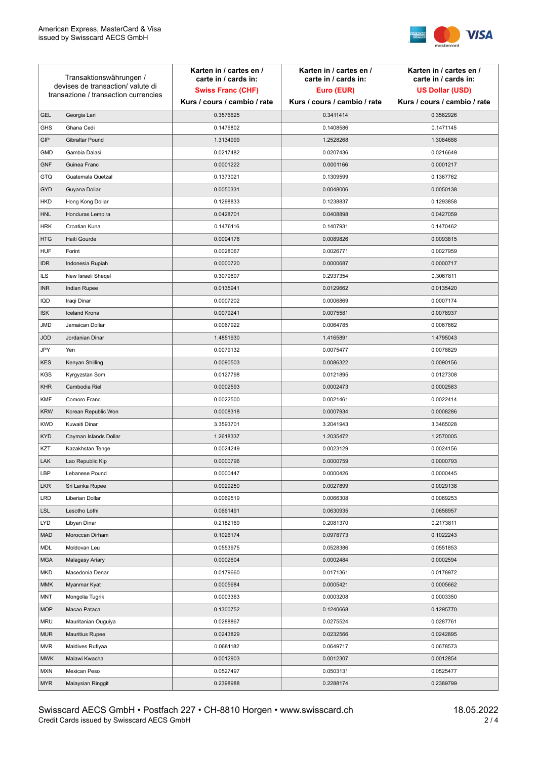

| Transaktionswährungen /<br>devises de transaction/valute di |                                      | Karten in / cartes en /<br>carte in / cards in: | Karten in / cartes en /<br>carte in / cards in: | Karten in / cartes en /<br>carte in / cards in: |
|-------------------------------------------------------------|--------------------------------------|-------------------------------------------------|-------------------------------------------------|-------------------------------------------------|
|                                                             |                                      | <b>Swiss Franc (CHF)</b>                        | Euro (EUR)                                      | <b>US Dollar (USD)</b>                          |
|                                                             | transazione / transaction currencies | Kurs / cours / cambio / rate                    | Kurs / cours / cambio / rate                    | Kurs / cours / cambio / rate                    |
| <b>GEL</b>                                                  | Georgia Lari                         | 0.3576625                                       | 0.3411414                                       | 0.3562926                                       |
| <b>GHS</b>                                                  | Ghana Cedi                           | 0.1476802                                       | 0.1408586                                       | 0.1471145                                       |
| GIP                                                         | Gibraltar Pound                      | 1.3134999                                       | 1.2528268                                       | 1.3084688                                       |
| <b>GMD</b>                                                  | Gambia Dalasi                        | 0.0217482                                       | 0.0207436                                       | 0.0216649                                       |
| <b>GNF</b>                                                  | Guinea Franc                         | 0.0001222                                       | 0.0001166                                       | 0.0001217                                       |
| <b>GTQ</b>                                                  | Guatemala Quetzal                    | 0.1373021                                       | 0.1309599                                       | 0.1367762                                       |
| GYD                                                         | Guyana Dollar                        | 0.0050331                                       | 0.0048006                                       | 0.0050138                                       |
| HKD                                                         | Hong Kong Dollar                     | 0.1298833                                       | 0.1238837                                       | 0.1293858                                       |
| <b>HNL</b>                                                  | Honduras Lempira                     | 0.0428701                                       | 0.0408898                                       | 0.0427059                                       |
| <b>HRK</b>                                                  | Croatian Kuna                        | 0.1476116                                       | 0.1407931                                       | 0.1470462                                       |
| <b>HTG</b>                                                  | Haiti Gourde                         | 0.0094176                                       | 0.0089826                                       | 0.0093815                                       |
| <b>HUF</b>                                                  | Forint                               | 0.0028067                                       | 0.0026771                                       | 0.0027959                                       |
| <b>IDR</b>                                                  | Indonesia Rupiah                     | 0.0000720                                       | 0.0000687                                       | 0.0000717                                       |
| <b>ILS</b>                                                  | New Israeli Sheqel                   | 0.3079607                                       | 0.2937354                                       | 0.3067811                                       |
| <b>INR</b>                                                  | Indian Rupee                         | 0.0135941                                       | 0.0129662                                       | 0.0135420                                       |
| IQD                                                         | Iraqi Dinar                          | 0.0007202                                       | 0.0006869                                       | 0.0007174                                       |
| <b>ISK</b>                                                  | <b>Iceland Krona</b>                 | 0.0079241                                       | 0.0075581                                       | 0.0078937                                       |
| <b>JMD</b>                                                  | Jamaican Dollar                      | 0.0067922                                       | 0.0064785                                       | 0.0067662                                       |
| <b>JOD</b>                                                  | Jordanian Dinar                      | 1.4851930                                       | 1.4165891                                       | 1.4795043                                       |
| JPY                                                         | Yen                                  | 0.0079132                                       | 0.0075477                                       | 0.0078829                                       |
| <b>KES</b>                                                  | Kenyan Shilling                      | 0.0090503                                       | 0.0086322                                       | 0.0090156                                       |
| <b>KGS</b>                                                  | Kyrgyzstan Som                       | 0.0127798                                       | 0.0121895                                       | 0.0127308                                       |
| <b>KHR</b>                                                  | Cambodia Riel                        | 0.0002593                                       | 0.0002473                                       | 0.0002583                                       |
| <b>KMF</b>                                                  | Comoro Franc                         | 0.0022500                                       | 0.0021461                                       | 0.0022414                                       |
| <b>KRW</b>                                                  | Korean Republic Won                  | 0.0008318                                       | 0.0007934                                       | 0.0008286                                       |
| <b>KWD</b>                                                  | Kuwaiti Dinar                        | 3.3593701                                       | 3.2041943                                       | 3.3465028                                       |
| <b>KYD</b>                                                  | Cayman Islands Dollar                | 1.2618337                                       | 1.2035472                                       | 1.2570005                                       |
| KZT                                                         | Kazakhstan Tenge                     | 0.0024249                                       | 0.0023129                                       | 0.0024156                                       |
| LAK                                                         | Lao Republic Kip                     | 0.0000796                                       | 0.0000759                                       | 0.0000793                                       |
| LBP                                                         | Lebanese Pound                       | 0.0000447                                       | 0.0000426                                       | 0.0000445                                       |
| <b>LKR</b>                                                  | Sri Lanka Rupee                      | 0.0029250                                       | 0.0027899                                       | 0.0029138                                       |
| <b>LRD</b>                                                  | Liberian Dollar                      | 0.0069519                                       | 0.0066308                                       | 0.0069253                                       |
| <b>LSL</b>                                                  | Lesotho Lothi                        | 0.0661491                                       | 0.0630935                                       | 0.0658957                                       |
| LYD                                                         | Libyan Dinar                         | 0.2182169                                       | 0.2081370                                       | 0.2173811                                       |
| <b>MAD</b>                                                  | Moroccan Dirham                      | 0.1026174                                       | 0.0978773                                       | 0.1022243                                       |
| MDL                                                         | Moldovan Leu                         | 0.0553975                                       | 0.0528386                                       | 0.0551853                                       |
| <b>MGA</b>                                                  | Malagasy Ariary                      | 0.0002604                                       | 0.0002484                                       | 0.0002594                                       |
| MKD                                                         | Macedonia Denar                      | 0.0179660                                       | 0.0171361                                       | 0.0178972                                       |
| <b>MMK</b>                                                  | Myanmar Kyat                         | 0.0005684                                       | 0.0005421                                       | 0.0005662                                       |
| <b>MNT</b>                                                  | Mongolia Tugrik                      | 0.0003363                                       | 0.0003208                                       | 0.0003350                                       |
| <b>MOP</b>                                                  | Macao Pataca                         | 0.1300752                                       | 0.1240668                                       | 0.1295770                                       |
| <b>MRU</b>                                                  | Mauritanian Ouguiya                  | 0.0288867                                       | 0.0275524                                       | 0.0287761                                       |
| <b>MUR</b>                                                  | <b>Mauritius Rupee</b>               | 0.0243829                                       | 0.0232566                                       | 0.0242895                                       |
| <b>MVR</b>                                                  | Maldives Rufiyaa                     | 0.0681182                                       | 0.0649717                                       | 0.0678573                                       |
| <b>MWK</b>                                                  | Malawi Kwacha                        | 0.0012903                                       | 0.0012307                                       | 0.0012854                                       |
| <b>MXN</b>                                                  | Mexican Peso                         | 0.0527497                                       | 0.0503131                                       | 0.0525477                                       |
| <b>MYR</b>                                                  | Malaysian Ringgit                    | 0.2398988                                       | 0.2288174                                       | 0.2389799                                       |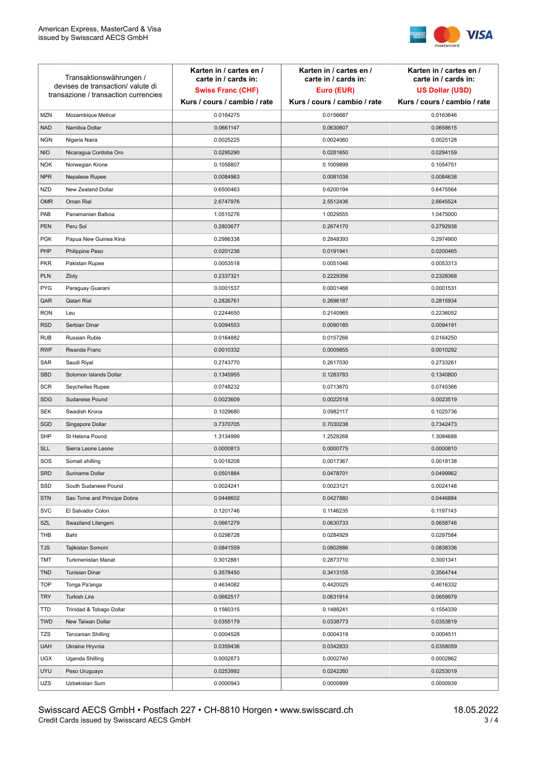

| <b>MZN</b><br>Mozambique Metical<br>0.0164275<br>0.0156687<br>0.0163646<br><b>NAD</b><br>Namibia Dollar<br>0.0661147<br>0.0630607<br>0.0658615<br><b>NGN</b><br>Nigeria Naira<br>0.0025225<br>0.0024060<br>0.0025128<br><b>NIO</b><br>0.0295290<br>0.0281650<br>Nicaragua Cordoba Oro<br>0.0294159<br><b>NOK</b><br>0.1058807<br>0.1009899<br>0.1054751<br>Norwegian Krone<br><b>NPR</b><br>0.0081038<br>Nepalese Rupee<br>0.0084963<br>0.0084638<br><b>NZD</b><br>New Zealand Dollar<br>0.6500463<br>0.6200194<br>0.6475564<br>Oman Rial<br><b>OMR</b><br>2.6747976<br>2.5512436<br>2.6645524<br>PAB<br>Panamanian Balboa<br>1.0515276<br>1.0029555<br>1.0475000<br><b>PEN</b><br>Peru Sol<br>0.2803677<br>0.2674170<br>0.2792938<br><b>PGK</b><br>0.2848393<br>Papua New Guinea Kina<br>0.2986338<br>0.2974900<br>PHP<br>0.0201236<br>0.0191941<br>0.0200465<br>Philippine Peso<br><b>PKR</b><br>0.0053518<br>0.0051046<br>0.0053313<br>Pakistan Rupee<br><b>PLN</b><br>Zloty<br>0.2337321<br>0.2229356<br>0.2328368<br><b>PYG</b><br>Paraguay Guarani<br>0.0001537<br>0.0001466<br>0.0001531<br>QAR<br>Qatari Rial<br>0.2826761<br>0.2696187<br>0.2815934<br><b>RON</b><br>Leu<br>0.2244650<br>0.2140965<br>0.2236052<br><b>RSD</b><br>Serbian Dinar<br>0.0094553<br>0.0090185<br>0.0094191<br><b>RUB</b><br>Russian Ruble<br>0.0164882<br>0.0157266<br>0.0164250<br><b>RWF</b><br>0.0010332<br>0.0009855<br>0.0010292<br>Rwanda Franc<br>SAR<br>Saudi Riyal<br>0.2743770<br>0.2617030<br>0.2733261<br><b>SBD</b><br>0.1283783<br>0.1340800<br>Solomon Islands Dollar<br>0.1345955<br><b>SCR</b><br>0.0713670<br>Seychelles Rupee<br>0.0748232<br>0.0745366<br><b>SDG</b><br>Sudanese Pound<br>0.0023609<br>0.0022518<br>0.0023519<br>SEK<br>Swedish Krona<br>0.1029680<br>0.0982117<br>0.1025736<br>SGD<br>0.7030238<br>0.7342473<br>Singapore Dollar<br>0.7370705<br><b>SHP</b><br>St Helena Pound<br>1.3134999<br>1.2528268<br>1.3084688<br><b>SLL</b><br>Sierra Leone Leone<br>0.0000813<br>0.0000775<br>0.0000810<br>SOS<br>Somali shilling<br>0.0018208<br>0.0017367<br>0.0018138<br>SRD<br>Suriname Dollar<br>0.0501884<br>0.0478701<br>0.0499962<br>SSD<br>South Sudanese Pound<br>0.0024241<br>0.0023121<br>0.0024148<br><b>STN</b><br>Sao Tome and Principe Dobra<br>0.0448602<br>0.0427880<br>0.0446884<br><b>SVC</b><br>0.1201746<br>0.1146235<br>0.1197143<br>El Salvador Colon<br><b>SZL</b><br>0.0661279<br>0.0630733<br>0.0658746<br>Swaziland Lilangeni<br>THB<br>0.0298728<br>0.0284929<br>0.0297584<br>Baht<br><b>TJS</b><br>0.0802686<br>Tajikistan Somoni<br>0.0841559<br>0.0838336<br>TMT<br>0.2873710<br>Turkmenistan Manat<br>0.3012881<br>0.3001341 | Transaktionswährungen /<br>devises de transaction/valute di<br>transazione / transaction currencies |                       | Karten in / cartes en /<br>carte in / cards in:<br><b>Swiss Franc (CHF)</b> | Karten in / cartes en /<br>carte in / cards in:<br>Euro (EUR) | Karten in / cartes en /<br>carte in / cards in:<br><b>US Dollar (USD)</b> |
|---------------------------------------------------------------------------------------------------------------------------------------------------------------------------------------------------------------------------------------------------------------------------------------------------------------------------------------------------------------------------------------------------------------------------------------------------------------------------------------------------------------------------------------------------------------------------------------------------------------------------------------------------------------------------------------------------------------------------------------------------------------------------------------------------------------------------------------------------------------------------------------------------------------------------------------------------------------------------------------------------------------------------------------------------------------------------------------------------------------------------------------------------------------------------------------------------------------------------------------------------------------------------------------------------------------------------------------------------------------------------------------------------------------------------------------------------------------------------------------------------------------------------------------------------------------------------------------------------------------------------------------------------------------------------------------------------------------------------------------------------------------------------------------------------------------------------------------------------------------------------------------------------------------------------------------------------------------------------------------------------------------------------------------------------------------------------------------------------------------------------------------------------------------------------------------------------------------------------------------------------------------------------------------------------------------------------------------------------------------------------------------------------------------------------------------------------------------------------------------------------------------------------------------------------------------------------------------------------------------------------------------------------------------------------------|-----------------------------------------------------------------------------------------------------|-----------------------|-----------------------------------------------------------------------------|---------------------------------------------------------------|---------------------------------------------------------------------------|
|                                                                                                                                                                                                                                                                                                                                                                                                                                                                                                                                                                                                                                                                                                                                                                                                                                                                                                                                                                                                                                                                                                                                                                                                                                                                                                                                                                                                                                                                                                                                                                                                                                                                                                                                                                                                                                                                                                                                                                                                                                                                                                                                                                                                                                                                                                                                                                                                                                                                                                                                                                                                                                                                                 |                                                                                                     |                       | Kurs / cours / cambio / rate                                                | Kurs / cours / cambio / rate                                  | Kurs / cours / cambio / rate                                              |
|                                                                                                                                                                                                                                                                                                                                                                                                                                                                                                                                                                                                                                                                                                                                                                                                                                                                                                                                                                                                                                                                                                                                                                                                                                                                                                                                                                                                                                                                                                                                                                                                                                                                                                                                                                                                                                                                                                                                                                                                                                                                                                                                                                                                                                                                                                                                                                                                                                                                                                                                                                                                                                                                                 |                                                                                                     |                       |                                                                             |                                                               |                                                                           |
|                                                                                                                                                                                                                                                                                                                                                                                                                                                                                                                                                                                                                                                                                                                                                                                                                                                                                                                                                                                                                                                                                                                                                                                                                                                                                                                                                                                                                                                                                                                                                                                                                                                                                                                                                                                                                                                                                                                                                                                                                                                                                                                                                                                                                                                                                                                                                                                                                                                                                                                                                                                                                                                                                 |                                                                                                     |                       |                                                                             |                                                               |                                                                           |
|                                                                                                                                                                                                                                                                                                                                                                                                                                                                                                                                                                                                                                                                                                                                                                                                                                                                                                                                                                                                                                                                                                                                                                                                                                                                                                                                                                                                                                                                                                                                                                                                                                                                                                                                                                                                                                                                                                                                                                                                                                                                                                                                                                                                                                                                                                                                                                                                                                                                                                                                                                                                                                                                                 |                                                                                                     |                       |                                                                             |                                                               |                                                                           |
|                                                                                                                                                                                                                                                                                                                                                                                                                                                                                                                                                                                                                                                                                                                                                                                                                                                                                                                                                                                                                                                                                                                                                                                                                                                                                                                                                                                                                                                                                                                                                                                                                                                                                                                                                                                                                                                                                                                                                                                                                                                                                                                                                                                                                                                                                                                                                                                                                                                                                                                                                                                                                                                                                 |                                                                                                     |                       |                                                                             |                                                               |                                                                           |
|                                                                                                                                                                                                                                                                                                                                                                                                                                                                                                                                                                                                                                                                                                                                                                                                                                                                                                                                                                                                                                                                                                                                                                                                                                                                                                                                                                                                                                                                                                                                                                                                                                                                                                                                                                                                                                                                                                                                                                                                                                                                                                                                                                                                                                                                                                                                                                                                                                                                                                                                                                                                                                                                                 |                                                                                                     |                       |                                                                             |                                                               |                                                                           |
|                                                                                                                                                                                                                                                                                                                                                                                                                                                                                                                                                                                                                                                                                                                                                                                                                                                                                                                                                                                                                                                                                                                                                                                                                                                                                                                                                                                                                                                                                                                                                                                                                                                                                                                                                                                                                                                                                                                                                                                                                                                                                                                                                                                                                                                                                                                                                                                                                                                                                                                                                                                                                                                                                 |                                                                                                     |                       |                                                                             |                                                               |                                                                           |
|                                                                                                                                                                                                                                                                                                                                                                                                                                                                                                                                                                                                                                                                                                                                                                                                                                                                                                                                                                                                                                                                                                                                                                                                                                                                                                                                                                                                                                                                                                                                                                                                                                                                                                                                                                                                                                                                                                                                                                                                                                                                                                                                                                                                                                                                                                                                                                                                                                                                                                                                                                                                                                                                                 |                                                                                                     |                       |                                                                             |                                                               |                                                                           |
|                                                                                                                                                                                                                                                                                                                                                                                                                                                                                                                                                                                                                                                                                                                                                                                                                                                                                                                                                                                                                                                                                                                                                                                                                                                                                                                                                                                                                                                                                                                                                                                                                                                                                                                                                                                                                                                                                                                                                                                                                                                                                                                                                                                                                                                                                                                                                                                                                                                                                                                                                                                                                                                                                 |                                                                                                     |                       |                                                                             |                                                               |                                                                           |
|                                                                                                                                                                                                                                                                                                                                                                                                                                                                                                                                                                                                                                                                                                                                                                                                                                                                                                                                                                                                                                                                                                                                                                                                                                                                                                                                                                                                                                                                                                                                                                                                                                                                                                                                                                                                                                                                                                                                                                                                                                                                                                                                                                                                                                                                                                                                                                                                                                                                                                                                                                                                                                                                                 |                                                                                                     |                       |                                                                             |                                                               |                                                                           |
|                                                                                                                                                                                                                                                                                                                                                                                                                                                                                                                                                                                                                                                                                                                                                                                                                                                                                                                                                                                                                                                                                                                                                                                                                                                                                                                                                                                                                                                                                                                                                                                                                                                                                                                                                                                                                                                                                                                                                                                                                                                                                                                                                                                                                                                                                                                                                                                                                                                                                                                                                                                                                                                                                 |                                                                                                     |                       |                                                                             |                                                               |                                                                           |
|                                                                                                                                                                                                                                                                                                                                                                                                                                                                                                                                                                                                                                                                                                                                                                                                                                                                                                                                                                                                                                                                                                                                                                                                                                                                                                                                                                                                                                                                                                                                                                                                                                                                                                                                                                                                                                                                                                                                                                                                                                                                                                                                                                                                                                                                                                                                                                                                                                                                                                                                                                                                                                                                                 |                                                                                                     |                       |                                                                             |                                                               |                                                                           |
|                                                                                                                                                                                                                                                                                                                                                                                                                                                                                                                                                                                                                                                                                                                                                                                                                                                                                                                                                                                                                                                                                                                                                                                                                                                                                                                                                                                                                                                                                                                                                                                                                                                                                                                                                                                                                                                                                                                                                                                                                                                                                                                                                                                                                                                                                                                                                                                                                                                                                                                                                                                                                                                                                 |                                                                                                     |                       |                                                                             |                                                               |                                                                           |
|                                                                                                                                                                                                                                                                                                                                                                                                                                                                                                                                                                                                                                                                                                                                                                                                                                                                                                                                                                                                                                                                                                                                                                                                                                                                                                                                                                                                                                                                                                                                                                                                                                                                                                                                                                                                                                                                                                                                                                                                                                                                                                                                                                                                                                                                                                                                                                                                                                                                                                                                                                                                                                                                                 |                                                                                                     |                       |                                                                             |                                                               |                                                                           |
|                                                                                                                                                                                                                                                                                                                                                                                                                                                                                                                                                                                                                                                                                                                                                                                                                                                                                                                                                                                                                                                                                                                                                                                                                                                                                                                                                                                                                                                                                                                                                                                                                                                                                                                                                                                                                                                                                                                                                                                                                                                                                                                                                                                                                                                                                                                                                                                                                                                                                                                                                                                                                                                                                 |                                                                                                     |                       |                                                                             |                                                               |                                                                           |
|                                                                                                                                                                                                                                                                                                                                                                                                                                                                                                                                                                                                                                                                                                                                                                                                                                                                                                                                                                                                                                                                                                                                                                                                                                                                                                                                                                                                                                                                                                                                                                                                                                                                                                                                                                                                                                                                                                                                                                                                                                                                                                                                                                                                                                                                                                                                                                                                                                                                                                                                                                                                                                                                                 |                                                                                                     |                       |                                                                             |                                                               |                                                                           |
|                                                                                                                                                                                                                                                                                                                                                                                                                                                                                                                                                                                                                                                                                                                                                                                                                                                                                                                                                                                                                                                                                                                                                                                                                                                                                                                                                                                                                                                                                                                                                                                                                                                                                                                                                                                                                                                                                                                                                                                                                                                                                                                                                                                                                                                                                                                                                                                                                                                                                                                                                                                                                                                                                 |                                                                                                     |                       |                                                                             |                                                               |                                                                           |
|                                                                                                                                                                                                                                                                                                                                                                                                                                                                                                                                                                                                                                                                                                                                                                                                                                                                                                                                                                                                                                                                                                                                                                                                                                                                                                                                                                                                                                                                                                                                                                                                                                                                                                                                                                                                                                                                                                                                                                                                                                                                                                                                                                                                                                                                                                                                                                                                                                                                                                                                                                                                                                                                                 |                                                                                                     |                       |                                                                             |                                                               |                                                                           |
|                                                                                                                                                                                                                                                                                                                                                                                                                                                                                                                                                                                                                                                                                                                                                                                                                                                                                                                                                                                                                                                                                                                                                                                                                                                                                                                                                                                                                                                                                                                                                                                                                                                                                                                                                                                                                                                                                                                                                                                                                                                                                                                                                                                                                                                                                                                                                                                                                                                                                                                                                                                                                                                                                 |                                                                                                     |                       |                                                                             |                                                               |                                                                           |
|                                                                                                                                                                                                                                                                                                                                                                                                                                                                                                                                                                                                                                                                                                                                                                                                                                                                                                                                                                                                                                                                                                                                                                                                                                                                                                                                                                                                                                                                                                                                                                                                                                                                                                                                                                                                                                                                                                                                                                                                                                                                                                                                                                                                                                                                                                                                                                                                                                                                                                                                                                                                                                                                                 |                                                                                                     |                       |                                                                             |                                                               |                                                                           |
|                                                                                                                                                                                                                                                                                                                                                                                                                                                                                                                                                                                                                                                                                                                                                                                                                                                                                                                                                                                                                                                                                                                                                                                                                                                                                                                                                                                                                                                                                                                                                                                                                                                                                                                                                                                                                                                                                                                                                                                                                                                                                                                                                                                                                                                                                                                                                                                                                                                                                                                                                                                                                                                                                 |                                                                                                     |                       |                                                                             |                                                               |                                                                           |
|                                                                                                                                                                                                                                                                                                                                                                                                                                                                                                                                                                                                                                                                                                                                                                                                                                                                                                                                                                                                                                                                                                                                                                                                                                                                                                                                                                                                                                                                                                                                                                                                                                                                                                                                                                                                                                                                                                                                                                                                                                                                                                                                                                                                                                                                                                                                                                                                                                                                                                                                                                                                                                                                                 |                                                                                                     |                       |                                                                             |                                                               |                                                                           |
|                                                                                                                                                                                                                                                                                                                                                                                                                                                                                                                                                                                                                                                                                                                                                                                                                                                                                                                                                                                                                                                                                                                                                                                                                                                                                                                                                                                                                                                                                                                                                                                                                                                                                                                                                                                                                                                                                                                                                                                                                                                                                                                                                                                                                                                                                                                                                                                                                                                                                                                                                                                                                                                                                 |                                                                                                     |                       |                                                                             |                                                               |                                                                           |
|                                                                                                                                                                                                                                                                                                                                                                                                                                                                                                                                                                                                                                                                                                                                                                                                                                                                                                                                                                                                                                                                                                                                                                                                                                                                                                                                                                                                                                                                                                                                                                                                                                                                                                                                                                                                                                                                                                                                                                                                                                                                                                                                                                                                                                                                                                                                                                                                                                                                                                                                                                                                                                                                                 |                                                                                                     |                       |                                                                             |                                                               |                                                                           |
|                                                                                                                                                                                                                                                                                                                                                                                                                                                                                                                                                                                                                                                                                                                                                                                                                                                                                                                                                                                                                                                                                                                                                                                                                                                                                                                                                                                                                                                                                                                                                                                                                                                                                                                                                                                                                                                                                                                                                                                                                                                                                                                                                                                                                                                                                                                                                                                                                                                                                                                                                                                                                                                                                 |                                                                                                     |                       |                                                                             |                                                               |                                                                           |
|                                                                                                                                                                                                                                                                                                                                                                                                                                                                                                                                                                                                                                                                                                                                                                                                                                                                                                                                                                                                                                                                                                                                                                                                                                                                                                                                                                                                                                                                                                                                                                                                                                                                                                                                                                                                                                                                                                                                                                                                                                                                                                                                                                                                                                                                                                                                                                                                                                                                                                                                                                                                                                                                                 |                                                                                                     |                       |                                                                             |                                                               |                                                                           |
|                                                                                                                                                                                                                                                                                                                                                                                                                                                                                                                                                                                                                                                                                                                                                                                                                                                                                                                                                                                                                                                                                                                                                                                                                                                                                                                                                                                                                                                                                                                                                                                                                                                                                                                                                                                                                                                                                                                                                                                                                                                                                                                                                                                                                                                                                                                                                                                                                                                                                                                                                                                                                                                                                 |                                                                                                     |                       |                                                                             |                                                               |                                                                           |
|                                                                                                                                                                                                                                                                                                                                                                                                                                                                                                                                                                                                                                                                                                                                                                                                                                                                                                                                                                                                                                                                                                                                                                                                                                                                                                                                                                                                                                                                                                                                                                                                                                                                                                                                                                                                                                                                                                                                                                                                                                                                                                                                                                                                                                                                                                                                                                                                                                                                                                                                                                                                                                                                                 |                                                                                                     |                       |                                                                             |                                                               |                                                                           |
|                                                                                                                                                                                                                                                                                                                                                                                                                                                                                                                                                                                                                                                                                                                                                                                                                                                                                                                                                                                                                                                                                                                                                                                                                                                                                                                                                                                                                                                                                                                                                                                                                                                                                                                                                                                                                                                                                                                                                                                                                                                                                                                                                                                                                                                                                                                                                                                                                                                                                                                                                                                                                                                                                 |                                                                                                     |                       |                                                                             |                                                               |                                                                           |
|                                                                                                                                                                                                                                                                                                                                                                                                                                                                                                                                                                                                                                                                                                                                                                                                                                                                                                                                                                                                                                                                                                                                                                                                                                                                                                                                                                                                                                                                                                                                                                                                                                                                                                                                                                                                                                                                                                                                                                                                                                                                                                                                                                                                                                                                                                                                                                                                                                                                                                                                                                                                                                                                                 |                                                                                                     |                       |                                                                             |                                                               |                                                                           |
|                                                                                                                                                                                                                                                                                                                                                                                                                                                                                                                                                                                                                                                                                                                                                                                                                                                                                                                                                                                                                                                                                                                                                                                                                                                                                                                                                                                                                                                                                                                                                                                                                                                                                                                                                                                                                                                                                                                                                                                                                                                                                                                                                                                                                                                                                                                                                                                                                                                                                                                                                                                                                                                                                 |                                                                                                     |                       |                                                                             |                                                               |                                                                           |
|                                                                                                                                                                                                                                                                                                                                                                                                                                                                                                                                                                                                                                                                                                                                                                                                                                                                                                                                                                                                                                                                                                                                                                                                                                                                                                                                                                                                                                                                                                                                                                                                                                                                                                                                                                                                                                                                                                                                                                                                                                                                                                                                                                                                                                                                                                                                                                                                                                                                                                                                                                                                                                                                                 |                                                                                                     |                       |                                                                             |                                                               |                                                                           |
|                                                                                                                                                                                                                                                                                                                                                                                                                                                                                                                                                                                                                                                                                                                                                                                                                                                                                                                                                                                                                                                                                                                                                                                                                                                                                                                                                                                                                                                                                                                                                                                                                                                                                                                                                                                                                                                                                                                                                                                                                                                                                                                                                                                                                                                                                                                                                                                                                                                                                                                                                                                                                                                                                 |                                                                                                     |                       |                                                                             |                                                               |                                                                           |
|                                                                                                                                                                                                                                                                                                                                                                                                                                                                                                                                                                                                                                                                                                                                                                                                                                                                                                                                                                                                                                                                                                                                                                                                                                                                                                                                                                                                                                                                                                                                                                                                                                                                                                                                                                                                                                                                                                                                                                                                                                                                                                                                                                                                                                                                                                                                                                                                                                                                                                                                                                                                                                                                                 |                                                                                                     |                       |                                                                             |                                                               |                                                                           |
|                                                                                                                                                                                                                                                                                                                                                                                                                                                                                                                                                                                                                                                                                                                                                                                                                                                                                                                                                                                                                                                                                                                                                                                                                                                                                                                                                                                                                                                                                                                                                                                                                                                                                                                                                                                                                                                                                                                                                                                                                                                                                                                                                                                                                                                                                                                                                                                                                                                                                                                                                                                                                                                                                 |                                                                                                     |                       |                                                                             |                                                               |                                                                           |
|                                                                                                                                                                                                                                                                                                                                                                                                                                                                                                                                                                                                                                                                                                                                                                                                                                                                                                                                                                                                                                                                                                                                                                                                                                                                                                                                                                                                                                                                                                                                                                                                                                                                                                                                                                                                                                                                                                                                                                                                                                                                                                                                                                                                                                                                                                                                                                                                                                                                                                                                                                                                                                                                                 |                                                                                                     |                       |                                                                             |                                                               |                                                                           |
|                                                                                                                                                                                                                                                                                                                                                                                                                                                                                                                                                                                                                                                                                                                                                                                                                                                                                                                                                                                                                                                                                                                                                                                                                                                                                                                                                                                                                                                                                                                                                                                                                                                                                                                                                                                                                                                                                                                                                                                                                                                                                                                                                                                                                                                                                                                                                                                                                                                                                                                                                                                                                                                                                 |                                                                                                     |                       |                                                                             |                                                               |                                                                           |
|                                                                                                                                                                                                                                                                                                                                                                                                                                                                                                                                                                                                                                                                                                                                                                                                                                                                                                                                                                                                                                                                                                                                                                                                                                                                                                                                                                                                                                                                                                                                                                                                                                                                                                                                                                                                                                                                                                                                                                                                                                                                                                                                                                                                                                                                                                                                                                                                                                                                                                                                                                                                                                                                                 |                                                                                                     |                       |                                                                             |                                                               |                                                                           |
|                                                                                                                                                                                                                                                                                                                                                                                                                                                                                                                                                                                                                                                                                                                                                                                                                                                                                                                                                                                                                                                                                                                                                                                                                                                                                                                                                                                                                                                                                                                                                                                                                                                                                                                                                                                                                                                                                                                                                                                                                                                                                                                                                                                                                                                                                                                                                                                                                                                                                                                                                                                                                                                                                 | <b>TND</b>                                                                                          | <b>Tunisian Dinar</b> | 0.3578450                                                                   | 0.3413155                                                     | 0.3564744                                                                 |
| <b>TOP</b><br>Tonga Pa'anga<br>0.4634082<br>0.4420025<br>0.4616332                                                                                                                                                                                                                                                                                                                                                                                                                                                                                                                                                                                                                                                                                                                                                                                                                                                                                                                                                                                                                                                                                                                                                                                                                                                                                                                                                                                                                                                                                                                                                                                                                                                                                                                                                                                                                                                                                                                                                                                                                                                                                                                                                                                                                                                                                                                                                                                                                                                                                                                                                                                                              |                                                                                                     |                       |                                                                             |                                                               |                                                                           |
| <b>TRY</b><br>0.0662517<br>0.0631914<br>0.0659979<br>Turkish Lira                                                                                                                                                                                                                                                                                                                                                                                                                                                                                                                                                                                                                                                                                                                                                                                                                                                                                                                                                                                                                                                                                                                                                                                                                                                                                                                                                                                                                                                                                                                                                                                                                                                                                                                                                                                                                                                                                                                                                                                                                                                                                                                                                                                                                                                                                                                                                                                                                                                                                                                                                                                                               |                                                                                                     |                       |                                                                             |                                                               |                                                                           |
| <b>TTD</b><br>Trinidad & Tobago Dollar<br>0.1560315<br>0.1488241<br>0.1554339                                                                                                                                                                                                                                                                                                                                                                                                                                                                                                                                                                                                                                                                                                                                                                                                                                                                                                                                                                                                                                                                                                                                                                                                                                                                                                                                                                                                                                                                                                                                                                                                                                                                                                                                                                                                                                                                                                                                                                                                                                                                                                                                                                                                                                                                                                                                                                                                                                                                                                                                                                                                   |                                                                                                     |                       |                                                                             |                                                               |                                                                           |
| <b>TWD</b><br>New Taiwan Dollar<br>0.0355179<br>0.0338773<br>0.0353819                                                                                                                                                                                                                                                                                                                                                                                                                                                                                                                                                                                                                                                                                                                                                                                                                                                                                                                                                                                                                                                                                                                                                                                                                                                                                                                                                                                                                                                                                                                                                                                                                                                                                                                                                                                                                                                                                                                                                                                                                                                                                                                                                                                                                                                                                                                                                                                                                                                                                                                                                                                                          |                                                                                                     |                       |                                                                             |                                                               |                                                                           |
| TZS<br>0.0004528<br>0.0004319<br>0.0004511<br>Tanzanian Shilling                                                                                                                                                                                                                                                                                                                                                                                                                                                                                                                                                                                                                                                                                                                                                                                                                                                                                                                                                                                                                                                                                                                                                                                                                                                                                                                                                                                                                                                                                                                                                                                                                                                                                                                                                                                                                                                                                                                                                                                                                                                                                                                                                                                                                                                                                                                                                                                                                                                                                                                                                                                                                |                                                                                                     |                       |                                                                             |                                                               |                                                                           |
| <b>UAH</b><br>0.0359436<br>0.0342833<br>0.0358059<br>Ukraine Hryvnia                                                                                                                                                                                                                                                                                                                                                                                                                                                                                                                                                                                                                                                                                                                                                                                                                                                                                                                                                                                                                                                                                                                                                                                                                                                                                                                                                                                                                                                                                                                                                                                                                                                                                                                                                                                                                                                                                                                                                                                                                                                                                                                                                                                                                                                                                                                                                                                                                                                                                                                                                                                                            |                                                                                                     |                       |                                                                             |                                                               |                                                                           |
| <b>UGX</b><br>Uganda Shilling<br>0.0002873<br>0.0002740<br>0.0002862                                                                                                                                                                                                                                                                                                                                                                                                                                                                                                                                                                                                                                                                                                                                                                                                                                                                                                                                                                                                                                                                                                                                                                                                                                                                                                                                                                                                                                                                                                                                                                                                                                                                                                                                                                                                                                                                                                                                                                                                                                                                                                                                                                                                                                                                                                                                                                                                                                                                                                                                                                                                            |                                                                                                     |                       |                                                                             |                                                               |                                                                           |
| <b>UYU</b><br>Peso Uruguayo<br>0.0253992<br>0.0242260<br>0.0253019                                                                                                                                                                                                                                                                                                                                                                                                                                                                                                                                                                                                                                                                                                                                                                                                                                                                                                                                                                                                                                                                                                                                                                                                                                                                                                                                                                                                                                                                                                                                                                                                                                                                                                                                                                                                                                                                                                                                                                                                                                                                                                                                                                                                                                                                                                                                                                                                                                                                                                                                                                                                              |                                                                                                     |                       |                                                                             |                                                               |                                                                           |
| UZS<br>Uzbekistan Sum<br>0.0000943<br>0.0000899<br>0.0000939                                                                                                                                                                                                                                                                                                                                                                                                                                                                                                                                                                                                                                                                                                                                                                                                                                                                                                                                                                                                                                                                                                                                                                                                                                                                                                                                                                                                                                                                                                                                                                                                                                                                                                                                                                                                                                                                                                                                                                                                                                                                                                                                                                                                                                                                                                                                                                                                                                                                                                                                                                                                                    |                                                                                                     |                       |                                                                             |                                                               |                                                                           |